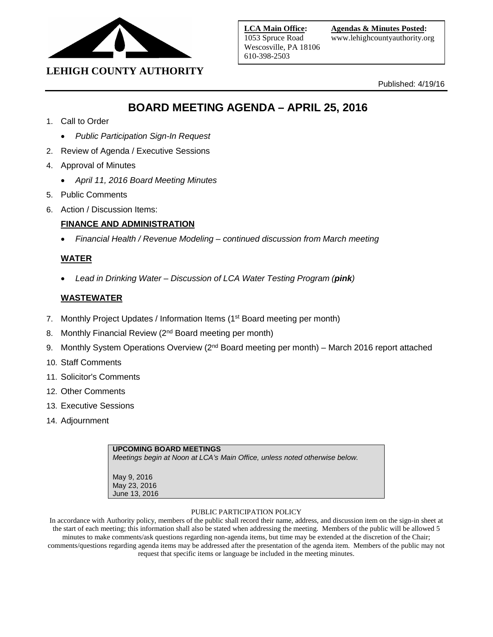

Published: 4/19/16

# **BOARD MEETING AGENDA – APRIL 25, 2016**

- 1. Call to Order
	- *Public Participation Sign-In Request*
- 2. Review of Agenda / Executive Sessions
- 4. Approval of Minutes
	- *April 11, 2016 Board Meeting Minutes*
- 5. Public Comments
- 6. Action / Discussion Items:

## **FINANCE AND ADMINISTRATION**

• *Financial Health / Revenue Modeling – continued discussion from March meeting*

## **WATER**

• *Lead in Drinking Water – Discussion of LCA Water Testing Program (pink)*

## **WASTEWATER**

- 7. Monthly Project Updates / Information Items (1<sup>st</sup> Board meeting per month)
- 8. Monthly Financial Review (2<sup>nd</sup> Board meeting per month)
- 9. Monthly System Operations Overview (2<sup>nd</sup> Board meeting per month) March 2016 report attached
- 10. Staff Comments
- 11. Solicitor's Comments
- 12. Other Comments
- 13. Executive Sessions
- 14. Adjournment

| <b>UPCOMING BOARD MEETINGS</b><br>Meetings begin at Noon at LCA's Main Office, unless noted otherwise below. |  |
|--------------------------------------------------------------------------------------------------------------|--|
| May 9, 2016<br>May 23, 2016<br>June 13, 2016                                                                 |  |

#### PUBLIC PARTICIPATION POLICY

In accordance with Authority policy, members of the public shall record their name, address, and discussion item on the sign-in sheet at the start of each meeting; this information shall also be stated when addressing the meeting. Members of the public will be allowed 5 minutes to make comments/ask questions regarding non-agenda items, but time may be extended at the discretion of the Chair; comments/questions regarding agenda items may be addressed after the presentation of the agenda item. Members of the public may not request that specific items or language be included in the meeting minutes.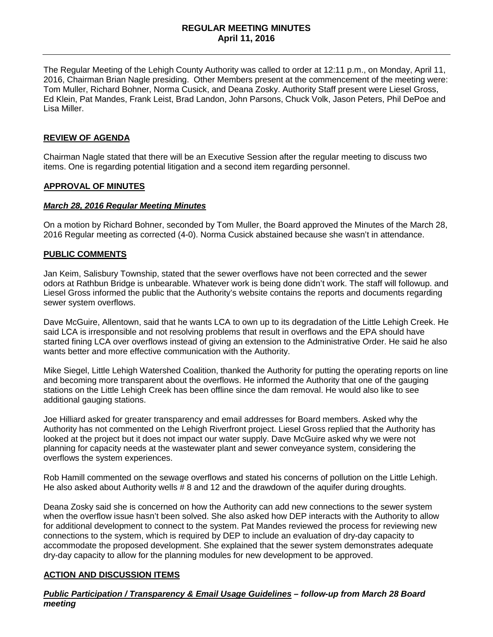#### **REGULAR MEETING MINUTES April 11, 2016**

The Regular Meeting of the Lehigh County Authority was called to order at 12:11 p.m., on Monday, April 11, 2016, Chairman Brian Nagle presiding. Other Members present at the commencement of the meeting were: Tom Muller, Richard Bohner, Norma Cusick, and Deana Zosky. Authority Staff present were Liesel Gross, Ed Klein, Pat Mandes, Frank Leist, Brad Landon, John Parsons, Chuck Volk, Jason Peters, Phil DePoe and Lisa Miller.

#### **REVIEW OF AGENDA**

Chairman Nagle stated that there will be an Executive Session after the regular meeting to discuss two items. One is regarding potential litigation and a second item regarding personnel.

#### **APPROVAL OF MINUTES**

#### *March 28, 2016 Regular Meeting Minutes*

On a motion by Richard Bohner, seconded by Tom Muller, the Board approved the Minutes of the March 28, 2016 Regular meeting as corrected (4-0). Norma Cusick abstained because she wasn't in attendance.

#### **PUBLIC COMMENTS**

Jan Keim, Salisbury Township, stated that the sewer overflows have not been corrected and the sewer odors at Rathbun Bridge is unbearable. Whatever work is being done didn't work. The staff will followup. and Liesel Gross informed the public that the Authority's website contains the reports and documents regarding sewer system overflows.

Dave McGuire, Allentown, said that he wants LCA to own up to its degradation of the Little Lehigh Creek. He said LCA is irresponsible and not resolving problems that result in overflows and the EPA should have started fining LCA over overflows instead of giving an extension to the Administrative Order. He said he also wants better and more effective communication with the Authority.

Mike Siegel, Little Lehigh Watershed Coalition, thanked the Authority for putting the operating reports on line and becoming more transparent about the overflows. He informed the Authority that one of the gauging stations on the Little Lehigh Creek has been offline since the dam removal. He would also like to see additional gauging stations.

Joe Hilliard asked for greater transparency and email addresses for Board members. Asked why the Authority has not commented on the Lehigh Riverfront project. Liesel Gross replied that the Authority has looked at the project but it does not impact our water supply. Dave McGuire asked why we were not planning for capacity needs at the wastewater plant and sewer conveyance system, considering the overflows the system experiences.

Rob Hamill commented on the sewage overflows and stated his concerns of pollution on the Little Lehigh. He also asked about Authority wells # 8 and 12 and the drawdown of the aquifer during droughts.

Deana Zosky said she is concerned on how the Authority can add new connections to the sewer system when the overflow issue hasn't been solved. She also asked how DEP interacts with the Authority to allow for additional development to connect to the system. Pat Mandes reviewed the process for reviewing new connections to the system, which is required by DEP to include an evaluation of dry-day capacity to accommodate the proposed development. She explained that the sewer system demonstrates adequate dry-day capacity to allow for the planning modules for new development to be approved.

#### **ACTION AND DISCUSSION ITEMS**

*Public Participation / Transparency & Email Usage Guidelines – follow-up from March 28 Board meeting*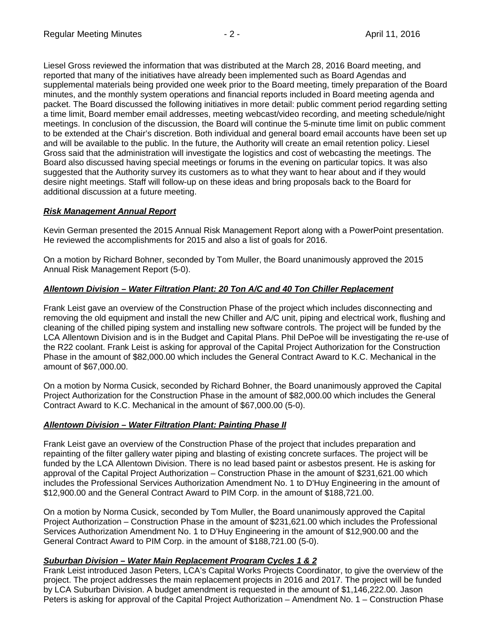Liesel Gross reviewed the information that was distributed at the March 28, 2016 Board meeting, and reported that many of the initiatives have already been implemented such as Board Agendas and supplemental materials being provided one week prior to the Board meeting, timely preparation of the Board minutes, and the monthly system operations and financial reports included in Board meeting agenda and packet. The Board discussed the following initiatives in more detail: public comment period regarding setting a time limit, Board member email addresses, meeting webcast/video recording, and meeting schedule/night meetings. In conclusion of the discussion, the Board will continue the 5-minute time limit on public comment to be extended at the Chair's discretion. Both individual and general board email accounts have been set up and will be available to the public. In the future, the Authority will create an email retention policy. Liesel Gross said that the administration will investigate the logistics and cost of webcasting the meetings. The Board also discussed having special meetings or forums in the evening on particular topics. It was also suggested that the Authority survey its customers as to what they want to hear about and if they would desire night meetings. Staff will follow-up on these ideas and bring proposals back to the Board for additional discussion at a future meeting.

## *Risk Management Annual Report*

Kevin German presented the 2015 Annual Risk Management Report along with a PowerPoint presentation. He reviewed the accomplishments for 2015 and also a list of goals for 2016.

On a motion by Richard Bohner, seconded by Tom Muller, the Board unanimously approved the 2015 Annual Risk Management Report (5-0).

## *Allentown Division – Water Filtration Plant: 20 Ton A/C and 40 Ton Chiller Replacement*

Frank Leist gave an overview of the Construction Phase of the project which includes disconnecting and removing the old equipment and install the new Chiller and A/C unit, piping and electrical work, flushing and cleaning of the chilled piping system and installing new software controls. The project will be funded by the LCA Allentown Division and is in the Budget and Capital Plans. Phil DePoe will be investigating the re-use of the R22 coolant. Frank Leist is asking for approval of the Capital Project Authorization for the Construction Phase in the amount of \$82,000.00 which includes the General Contract Award to K.C. Mechanical in the amount of \$67,000.00.

On a motion by Norma Cusick, seconded by Richard Bohner, the Board unanimously approved the Capital Project Authorization for the Construction Phase in the amount of \$82,000.00 which includes the General Contract Award to K.C. Mechanical in the amount of \$67,000.00 (5-0).

#### *Allentown Division – Water Filtration Plant: Painting Phase II*

Frank Leist gave an overview of the Construction Phase of the project that includes preparation and repainting of the filter gallery water piping and blasting of existing concrete surfaces. The project will be funded by the LCA Allentown Division. There is no lead based paint or asbestos present. He is asking for approval of the Capital Project Authorization – Construction Phase in the amount of \$231,621.00 which includes the Professional Services Authorization Amendment No. 1 to D'Huy Engineering in the amount of \$12,900.00 and the General Contract Award to PIM Corp. in the amount of \$188,721.00.

On a motion by Norma Cusick, seconded by Tom Muller, the Board unanimously approved the Capital Project Authorization – Construction Phase in the amount of \$231,621.00 which includes the Professional Services Authorization Amendment No. 1 to D'Huy Engineering in the amount of \$12,900.00 and the General Contract Award to PIM Corp. in the amount of \$188,721.00 (5-0).

#### *Suburban Division – Water Main Replacement Program Cycles 1 & 2*

Frank Leist introduced Jason Peters, LCA's Capital Works Projects Coordinator, to give the overview of the project. The project addresses the main replacement projects in 2016 and 2017. The project will be funded by LCA Suburban Division. A budget amendment is requested in the amount of \$1,146,222.00. Jason Peters is asking for approval of the Capital Project Authorization – Amendment No. 1 – Construction Phase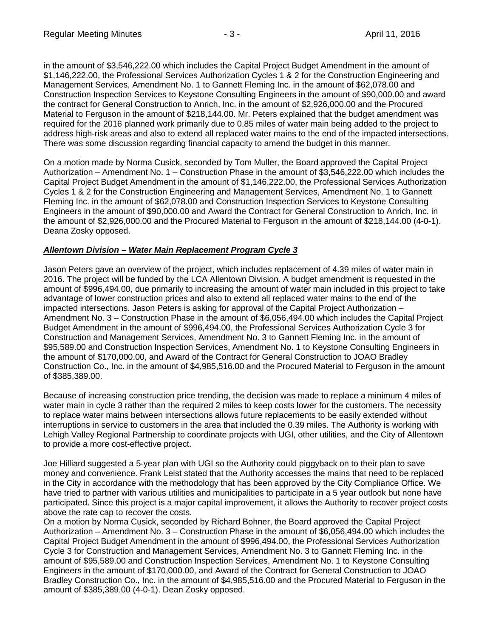in the amount of \$3,546,222.00 which includes the Capital Project Budget Amendment in the amount of \$1,146,222.00, the Professional Services Authorization Cycles 1 & 2 for the Construction Engineering and Management Services, Amendment No. 1 to Gannett Fleming Inc. in the amount of \$62,078.00 and Construction Inspection Services to Keystone Consulting Engineers in the amount of \$90,000.00 and award the contract for General Construction to Anrich, Inc. in the amount of \$2,926,000.00 and the Procured Material to Ferguson in the amount of \$218,144.00. Mr. Peters explained that the budget amendment was required for the 2016 planned work primarily due to 0.85 miles of water main being added to the project to address high-risk areas and also to extend all replaced water mains to the end of the impacted intersections. There was some discussion regarding financial capacity to amend the budget in this manner.

On a motion made by Norma Cusick, seconded by Tom Muller, the Board approved the Capital Project Authorization – Amendment No. 1 – Construction Phase in the amount of \$3,546,222.00 which includes the Capital Project Budget Amendment in the amount of \$1,146,222.00, the Professional Services Authorization Cycles 1 & 2 for the Construction Engineering and Management Services, Amendment No. 1 to Gannett Fleming Inc. in the amount of \$62,078.00 and Construction Inspection Services to Keystone Consulting Engineers in the amount of \$90,000.00 and Award the Contract for General Construction to Anrich, Inc. in the amount of \$2,926,000.00 and the Procured Material to Ferguson in the amount of \$218,144.00 (4-0-1). Deana Zosky opposed.

## *Allentown Division – Water Main Replacement Program Cycle 3*

Jason Peters gave an overview of the project, which includes replacement of 4.39 miles of water main in 2016. The project will be funded by the LCA Allentown Division. A budget amendment is requested in the amount of \$996,494.00, due primarily to increasing the amount of water main included in this project to take advantage of lower construction prices and also to extend all replaced water mains to the end of the impacted intersections. Jason Peters is asking for approval of the Capital Project Authorization – Amendment No. 3 – Construction Phase in the amount of \$6,056,494.00 which includes the Capital Project Budget Amendment in the amount of \$996,494.00, the Professional Services Authorization Cycle 3 for Construction and Management Services, Amendment No. 3 to Gannett Fleming Inc. in the amount of \$95,589.00 and Construction Inspection Services, Amendment No. 1 to Keystone Consulting Engineers in the amount of \$170,000.00, and Award of the Contract for General Construction to JOAO Bradley Construction Co., Inc. in the amount of \$4,985,516.00 and the Procured Material to Ferguson in the amount of \$385,389.00.

Because of increasing construction price trending, the decision was made to replace a minimum 4 miles of water main in cycle 3 rather than the required 2 miles to keep costs lower for the customers. The necessity to replace water mains between intersections allows future replacements to be easily extended without interruptions in service to customers in the area that included the 0.39 miles. The Authority is working with Lehigh Valley Regional Partnership to coordinate projects with UGI, other utilities, and the City of Allentown to provide a more cost-effective project.

Joe Hilliard suggested a 5-year plan with UGI so the Authority could piggyback on to their plan to save money and convenience. Frank Leist stated that the Authority accesses the mains that need to be replaced in the City in accordance with the methodology that has been approved by the City Compliance Office. We have tried to partner with various utilities and municipalities to participate in a 5 year outlook but none have participated. Since this project is a major capital improvement, it allows the Authority to recover project costs above the rate cap to recover the costs.

On a motion by Norma Cusick, seconded by Richard Bohner, the Board approved the Capital Project Authorization – Amendment No. 3 – Construction Phase in the amount of \$6,056,494.00 which includes the Capital Project Budget Amendment in the amount of \$996,494.00, the Professional Services Authorization Cycle 3 for Construction and Management Services, Amendment No. 3 to Gannett Fleming Inc. in the amount of \$95,589.00 and Construction Inspection Services, Amendment No. 1 to Keystone Consulting Engineers in the amount of \$170,000.00, and Award of the Contract for General Construction to JOAO Bradley Construction Co., Inc. in the amount of \$4,985,516.00 and the Procured Material to Ferguson in the amount of \$385,389.00 (4-0-1). Dean Zosky opposed.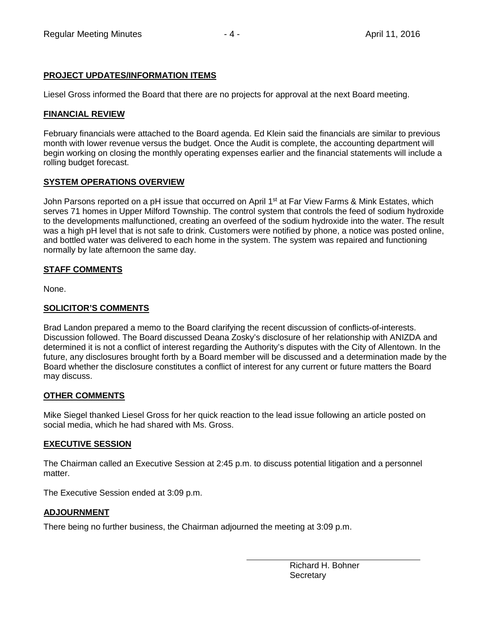# **PROJECT UPDATES/INFORMATION ITEMS**

Liesel Gross informed the Board that there are no projects for approval at the next Board meeting.

## **FINANCIAL REVIEW**

February financials were attached to the Board agenda. Ed Klein said the financials are similar to previous month with lower revenue versus the budget. Once the Audit is complete, the accounting department will begin working on closing the monthly operating expenses earlier and the financial statements will include a rolling budget forecast.

## **SYSTEM OPERATIONS OVERVIEW**

John Parsons reported on a pH issue that occurred on April 1<sup>st</sup> at Far View Farms & Mink Estates, which serves 71 homes in Upper Milford Township. The control system that controls the feed of sodium hydroxide to the developments malfunctioned, creating an overfeed of the sodium hydroxide into the water. The result was a high pH level that is not safe to drink. Customers were notified by phone, a notice was posted online, and bottled water was delivered to each home in the system. The system was repaired and functioning normally by late afternoon the same day.

## **STAFF COMMENTS**

None.

## **SOLICITOR'S COMMENTS**

Brad Landon prepared a memo to the Board clarifying the recent discussion of conflicts-of-interests. Discussion followed. The Board discussed Deana Zosky's disclosure of her relationship with ANIZDA and determined it is not a conflict of interest regarding the Authority's disputes with the City of Allentown. In the future, any disclosures brought forth by a Board member will be discussed and a determination made by the Board whether the disclosure constitutes a conflict of interest for any current or future matters the Board may discuss.

## **OTHER COMMENTS**

Mike Siegel thanked Liesel Gross for her quick reaction to the lead issue following an article posted on social media, which he had shared with Ms. Gross.

#### **EXECUTIVE SESSION**

The Chairman called an Executive Session at 2:45 p.m. to discuss potential litigation and a personnel matter.

The Executive Session ended at 3:09 p.m.

#### **ADJOURNMENT**

There being no further business, the Chairman adjourned the meeting at 3:09 p.m.

Richard H. Bohner **Secretary**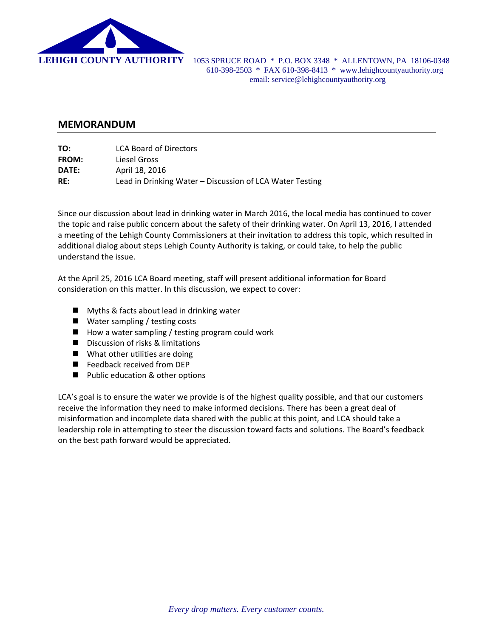

 **LEHIGH COUNTY AUTHORITY** 1053 SPRUCE ROAD \* P.O. BOX 3348 \* ALLENTOWN, PA 18106-0348 610-398-2503 \* FAX 610-398-8413 \* www.lehighcountyauthority.org email: service@lehighcountyauthority.org

## **MEMORANDUM**

| TO:          | <b>LCA Board of Directors</b>                            |
|--------------|----------------------------------------------------------|
| <b>FROM:</b> | Liesel Gross                                             |
| DATE:        | April 18, 2016                                           |
| RE:          | Lead in Drinking Water – Discussion of LCA Water Testing |

Since our discussion about lead in drinking water in March 2016, the local media has continued to cover the topic and raise public concern about the safety of their drinking water. On April 13, 2016, I attended a meeting of the Lehigh County Commissioners at their invitation to address this topic, which resulted in additional dialog about steps Lehigh County Authority is taking, or could take, to help the public understand the issue.

At the April 25, 2016 LCA Board meeting, staff will present additional information for Board consideration on this matter. In this discussion, we expect to cover:

- **Myths & facts about lead in drinking water**
- Water sampling / testing costs
- $\blacksquare$  How a water sampling / testing program could work
- Discussion of risks & limitations
- What other utilities are doing
- Feedback received from DEP
- **Public education & other options**

LCA's goal is to ensure the water we provide is of the highest quality possible, and that our customers receive the information they need to make informed decisions. There has been a great deal of misinformation and incomplete data shared with the public at this point, and LCA should take a leadership role in attempting to steer the discussion toward facts and solutions. The Board's feedback on the best path forward would be appreciated.